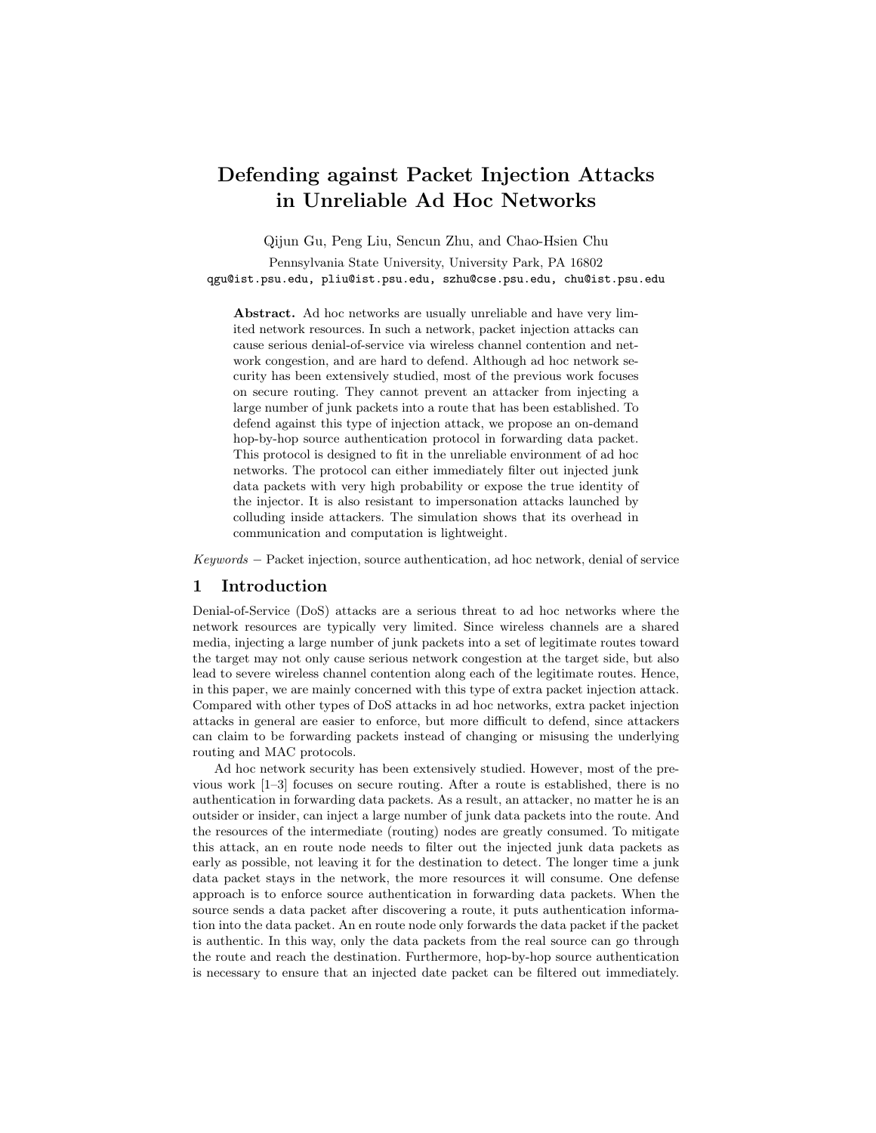# Defending against Packet Injection Attacks in Unreliable Ad Hoc Networks

Qijun Gu, Peng Liu, Sencun Zhu, and Chao-Hsien Chu

Pennsylvania State University, University Park, PA 16802 qgu@ist.psu.edu, pliu@ist.psu.edu, szhu@cse.psu.edu, chu@ist.psu.edu

Abstract. Ad hoc networks are usually unreliable and have very limited network resources. In such a network, packet injection attacks can cause serious denial-of-service via wireless channel contention and network congestion, and are hard to defend. Although ad hoc network security has been extensively studied, most of the previous work focuses on secure routing. They cannot prevent an attacker from injecting a large number of junk packets into a route that has been established. To defend against this type of injection attack, we propose an on-demand hop-by-hop source authentication protocol in forwarding data packet. This protocol is designed to fit in the unreliable environment of ad hoc networks. The protocol can either immediately filter out injected junk data packets with very high probability or expose the true identity of the injector. It is also resistant to impersonation attacks launched by colluding inside attackers. The simulation shows that its overhead in communication and computation is lightweight.

Keywords − Packet injection, source authentication, ad hoc network, denial of service

# 1 Introduction

Denial-of-Service (DoS) attacks are a serious threat to ad hoc networks where the network resources are typically very limited. Since wireless channels are a shared media, injecting a large number of junk packets into a set of legitimate routes toward the target may not only cause serious network congestion at the target side, but also lead to severe wireless channel contention along each of the legitimate routes. Hence, in this paper, we are mainly concerned with this type of extra packet injection attack. Compared with other types of DoS attacks in ad hoc networks, extra packet injection attacks in general are easier to enforce, but more difficult to defend, since attackers can claim to be forwarding packets instead of changing or misusing the underlying routing and MAC protocols.

Ad hoc network security has been extensively studied. However, most of the previous work [1–3] focuses on secure routing. After a route is established, there is no authentication in forwarding data packets. As a result, an attacker, no matter he is an outsider or insider, can inject a large number of junk data packets into the route. And the resources of the intermediate (routing) nodes are greatly consumed. To mitigate this attack, an en route node needs to filter out the injected junk data packets as early as possible, not leaving it for the destination to detect. The longer time a junk data packet stays in the network, the more resources it will consume. One defense approach is to enforce source authentication in forwarding data packets. When the source sends a data packet after discovering a route, it puts authentication information into the data packet. An en route node only forwards the data packet if the packet is authentic. In this way, only the data packets from the real source can go through the route and reach the destination. Furthermore, hop-by-hop source authentication is necessary to ensure that an injected date packet can be filtered out immediately.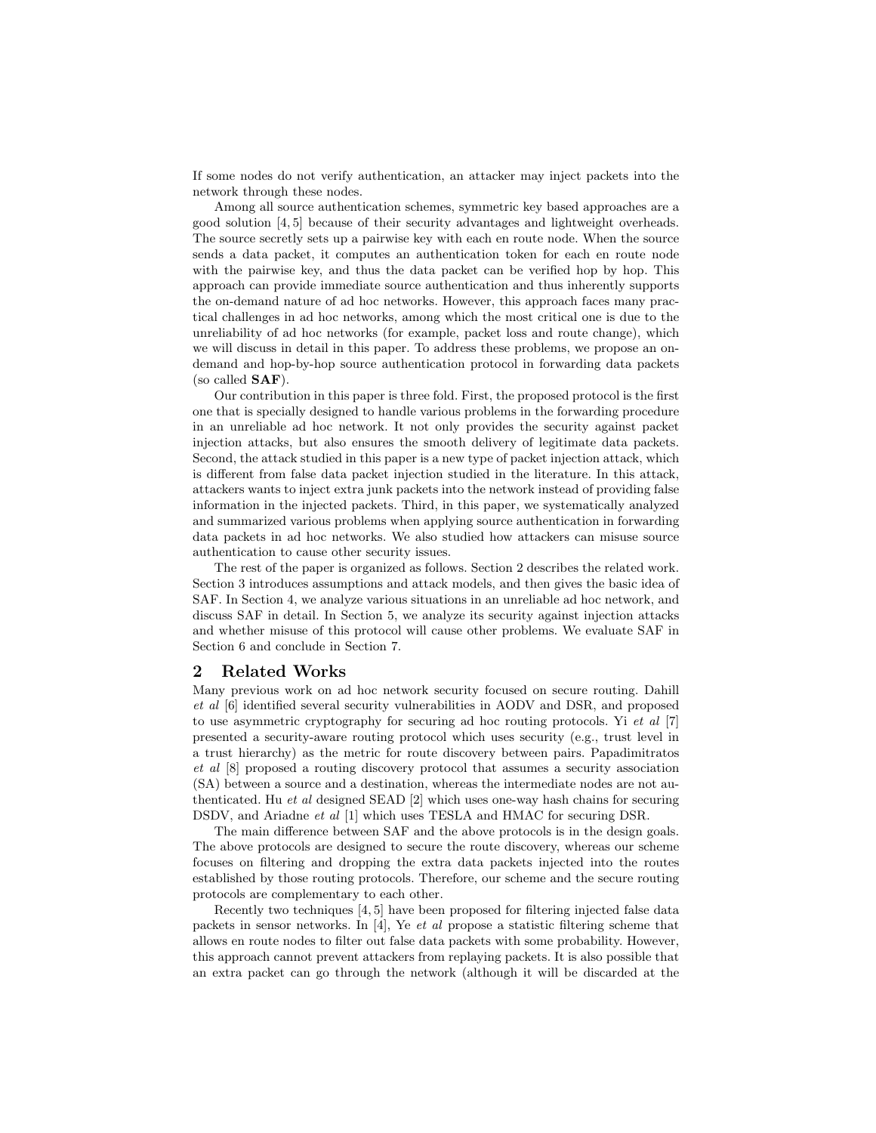If some nodes do not verify authentication, an attacker may inject packets into the network through these nodes.

Among all source authentication schemes, symmetric key based approaches are a good solution [4, 5] because of their security advantages and lightweight overheads. The source secretly sets up a pairwise key with each en route node. When the source sends a data packet, it computes an authentication token for each en route node with the pairwise key, and thus the data packet can be verified hop by hop. This approach can provide immediate source authentication and thus inherently supports the on-demand nature of ad hoc networks. However, this approach faces many practical challenges in ad hoc networks, among which the most critical one is due to the unreliability of ad hoc networks (for example, packet loss and route change), which we will discuss in detail in this paper. To address these problems, we propose an ondemand and hop-by-hop source authentication protocol in forwarding data packets (so called SAF).

Our contribution in this paper is three fold. First, the proposed protocol is the first one that is specially designed to handle various problems in the forwarding procedure in an unreliable ad hoc network. It not only provides the security against packet injection attacks, but also ensures the smooth delivery of legitimate data packets. Second, the attack studied in this paper is a new type of packet injection attack, which is different from false data packet injection studied in the literature. In this attack, attackers wants to inject extra junk packets into the network instead of providing false information in the injected packets. Third, in this paper, we systematically analyzed and summarized various problems when applying source authentication in forwarding data packets in ad hoc networks. We also studied how attackers can misuse source authentication to cause other security issues.

The rest of the paper is organized as follows. Section 2 describes the related work. Section 3 introduces assumptions and attack models, and then gives the basic idea of SAF. In Section 4, we analyze various situations in an unreliable ad hoc network, and discuss SAF in detail. In Section 5, we analyze its security against injection attacks and whether misuse of this protocol will cause other problems. We evaluate SAF in Section 6 and conclude in Section 7.

### 2 Related Works

Many previous work on ad hoc network security focused on secure routing. Dahill et al [6] identified several security vulnerabilities in AODV and DSR, and proposed to use asymmetric cryptography for securing ad hoc routing protocols. Yi et al [7] presented a security-aware routing protocol which uses security (e.g., trust level in a trust hierarchy) as the metric for route discovery between pairs. Papadimitratos et al [8] proposed a routing discovery protocol that assumes a security association (SA) between a source and a destination, whereas the intermediate nodes are not authenticated. Hu et al designed SEAD [2] which uses one-way hash chains for securing DSDV, and Ariadne et al [1] which uses TESLA and HMAC for securing DSR.

The main difference between SAF and the above protocols is in the design goals. The above protocols are designed to secure the route discovery, whereas our scheme focuses on filtering and dropping the extra data packets injected into the routes established by those routing protocols. Therefore, our scheme and the secure routing protocols are complementary to each other.

Recently two techniques [4, 5] have been proposed for filtering injected false data packets in sensor networks. In [4], Ye *et al* propose a statistic filtering scheme that allows en route nodes to filter out false data packets with some probability. However, this approach cannot prevent attackers from replaying packets. It is also possible that an extra packet can go through the network (although it will be discarded at the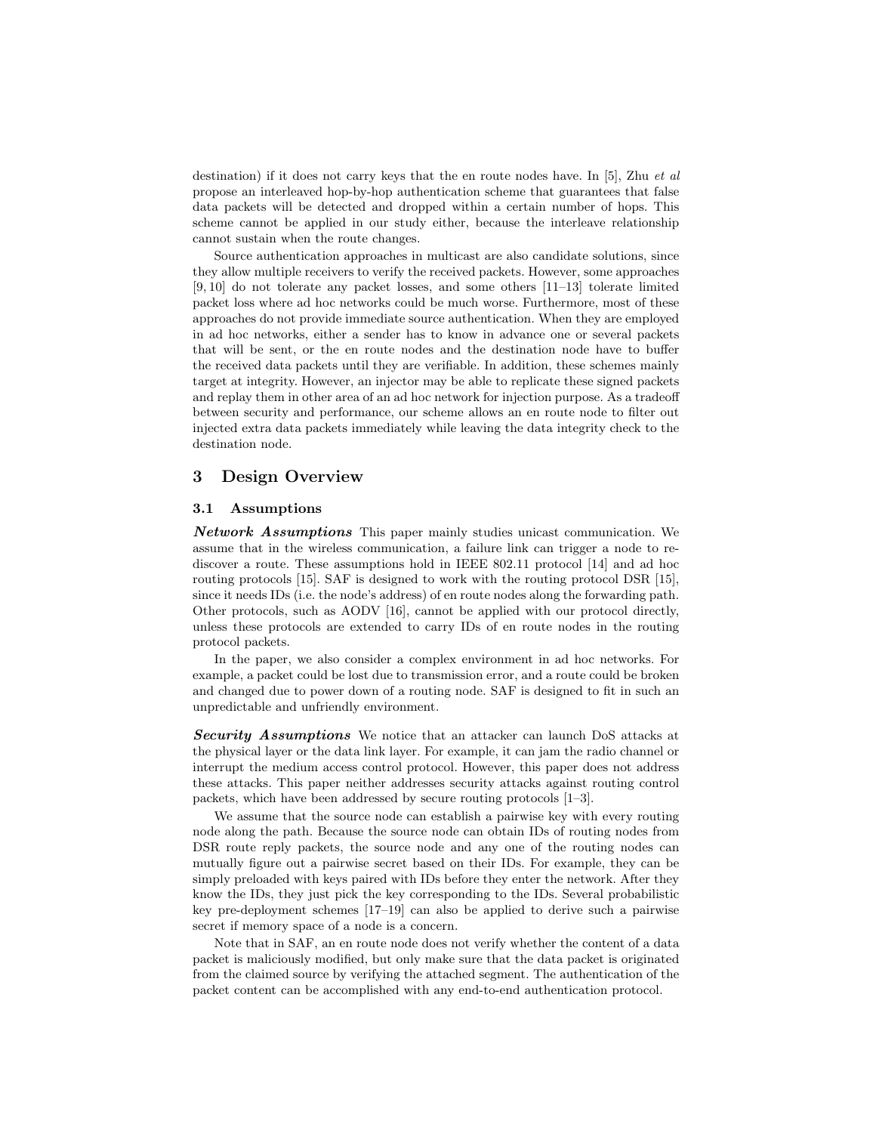destination) if it does not carry keys that the en route nodes have. In [5], Zhu *et al* propose an interleaved hop-by-hop authentication scheme that guarantees that false data packets will be detected and dropped within a certain number of hops. This scheme cannot be applied in our study either, because the interleave relationship cannot sustain when the route changes.

Source authentication approaches in multicast are also candidate solutions, since they allow multiple receivers to verify the received packets. However, some approaches [9, 10] do not tolerate any packet losses, and some others [11–13] tolerate limited packet loss where ad hoc networks could be much worse. Furthermore, most of these approaches do not provide immediate source authentication. When they are employed in ad hoc networks, either a sender has to know in advance one or several packets that will be sent, or the en route nodes and the destination node have to buffer the received data packets until they are verifiable. In addition, these schemes mainly target at integrity. However, an injector may be able to replicate these signed packets and replay them in other area of an ad hoc network for injection purpose. As a tradeoff between security and performance, our scheme allows an en route node to filter out injected extra data packets immediately while leaving the data integrity check to the destination node.

# 3 Design Overview

### 3.1 Assumptions

**Network Assumptions** This paper mainly studies unicast communication. We assume that in the wireless communication, a failure link can trigger a node to rediscover a route. These assumptions hold in IEEE 802.11 protocol [14] and ad hoc routing protocols [15]. SAF is designed to work with the routing protocol DSR [15], since it needs IDs (i.e. the node's address) of en route nodes along the forwarding path. Other protocols, such as AODV [16], cannot be applied with our protocol directly, unless these protocols are extended to carry IDs of en route nodes in the routing protocol packets.

In the paper, we also consider a complex environment in ad hoc networks. For example, a packet could be lost due to transmission error, and a route could be broken and changed due to power down of a routing node. SAF is designed to fit in such an unpredictable and unfriendly environment.

Security Assumptions We notice that an attacker can launch DoS attacks at the physical layer or the data link layer. For example, it can jam the radio channel or interrupt the medium access control protocol. However, this paper does not address these attacks. This paper neither addresses security attacks against routing control packets, which have been addressed by secure routing protocols [1–3].

We assume that the source node can establish a pairwise key with every routing node along the path. Because the source node can obtain IDs of routing nodes from DSR route reply packets, the source node and any one of the routing nodes can mutually figure out a pairwise secret based on their IDs. For example, they can be simply preloaded with keys paired with IDs before they enter the network. After they know the IDs, they just pick the key corresponding to the IDs. Several probabilistic key pre-deployment schemes [17–19] can also be applied to derive such a pairwise secret if memory space of a node is a concern.

Note that in SAF, an en route node does not verify whether the content of a data packet is maliciously modified, but only make sure that the data packet is originated from the claimed source by verifying the attached segment. The authentication of the packet content can be accomplished with any end-to-end authentication protocol.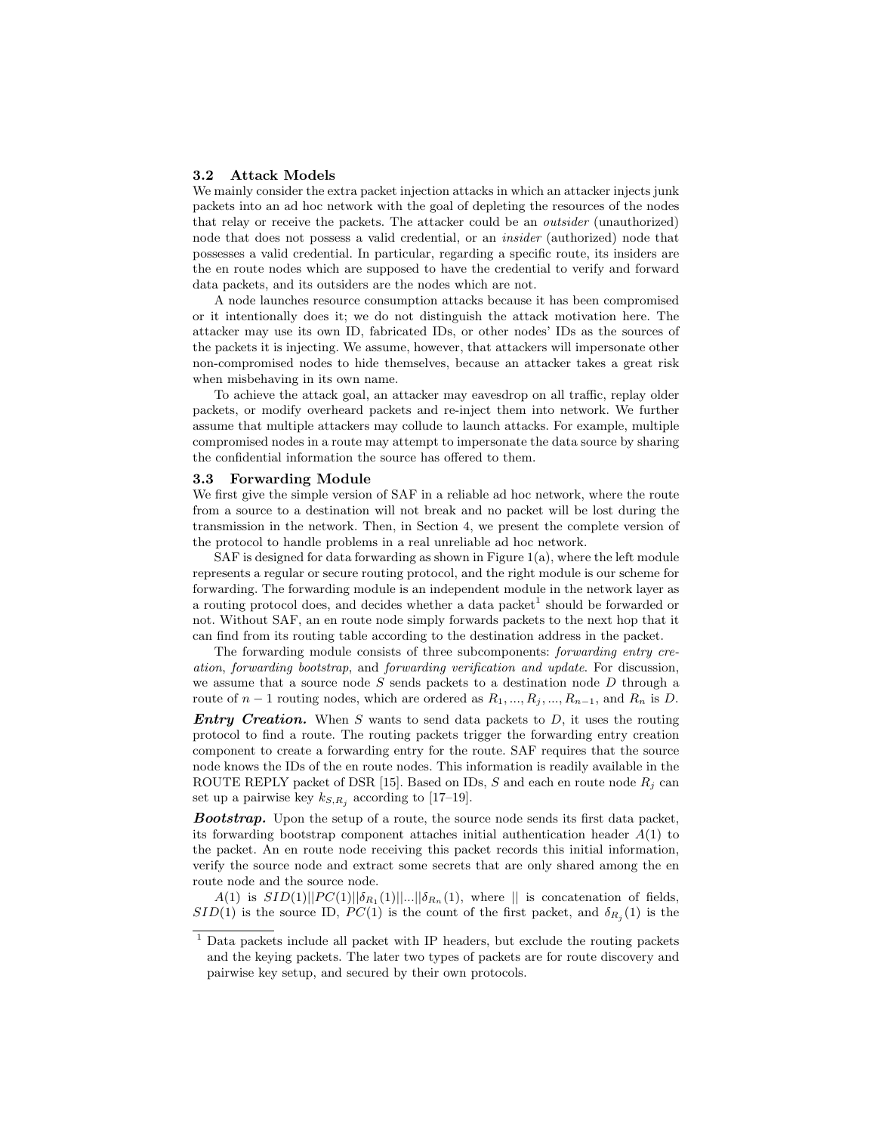#### 3.2 Attack Models

We mainly consider the extra packet injection attacks in which an attacker injects junk packets into an ad hoc network with the goal of depleting the resources of the nodes that relay or receive the packets. The attacker could be an outsider (unauthorized) node that does not possess a valid credential, or an insider (authorized) node that possesses a valid credential. In particular, regarding a specific route, its insiders are the en route nodes which are supposed to have the credential to verify and forward data packets, and its outsiders are the nodes which are not.

A node launches resource consumption attacks because it has been compromised or it intentionally does it; we do not distinguish the attack motivation here. The attacker may use its own ID, fabricated IDs, or other nodes' IDs as the sources of the packets it is injecting. We assume, however, that attackers will impersonate other non-compromised nodes to hide themselves, because an attacker takes a great risk when misbehaving in its own name.

To achieve the attack goal, an attacker may eavesdrop on all traffic, replay older packets, or modify overheard packets and re-inject them into network. We further assume that multiple attackers may collude to launch attacks. For example, multiple compromised nodes in a route may attempt to impersonate the data source by sharing the confidential information the source has offered to them.

### 3.3 Forwarding Module

We first give the simple version of SAF in a reliable ad hoc network, where the route from a source to a destination will not break and no packet will be lost during the transmission in the network. Then, in Section 4, we present the complete version of the protocol to handle problems in a real unreliable ad hoc network.

SAF is designed for data forwarding as shown in Figure  $1(a)$ , where the left module represents a regular or secure routing protocol, and the right module is our scheme for forwarding. The forwarding module is an independent module in the network layer as a routing protocol does, and decides whether a data packet<sup>1</sup> should be forwarded or not. Without SAF, an en route node simply forwards packets to the next hop that it can find from its routing table according to the destination address in the packet.

The forwarding module consists of three subcomponents: forwarding entry creation, forwarding bootstrap, and forwarding verification and update. For discussion, we assume that a source node  $S$  sends packets to a destination node  $D$  through a route of  $n-1$  routing nodes, which are ordered as  $R_1, ..., R_j, ..., R_{n-1}$ , and  $R_n$  is D.

**Entry Creation.** When S wants to send data packets to  $D$ , it uses the routing protocol to find a route. The routing packets trigger the forwarding entry creation component to create a forwarding entry for the route. SAF requires that the source node knows the IDs of the en route nodes. This information is readily available in the ROUTE REPLY packet of DSR [15]. Based on IDs, S and each en route node  $R_i$  can set up a pairwise key  $k_{S,R_i}$  according to [17–19].

**Bootstrap.** Upon the setup of a route, the source node sends its first data packet, its forwarding bootstrap component attaches initial authentication header  $A(1)$  to the packet. An en route node receiving this packet records this initial information, verify the source node and extract some secrets that are only shared among the en route node and the source node.

 $A(1)$  is  $SID(1)||PC(1)||\delta_{R_1}(1)||...||\delta_{R_n}(1)$ , where  $||$  is concatenation of fields,  $SID(1)$  is the source ID,  $PC(1)$  is the count of the first packet, and  $\delta_{R_j}(1)$  is the

 $<sup>1</sup>$  Data packets include all packet with IP headers, but exclude the routing packets</sup> and the keying packets. The later two types of packets are for route discovery and pairwise key setup, and secured by their own protocols.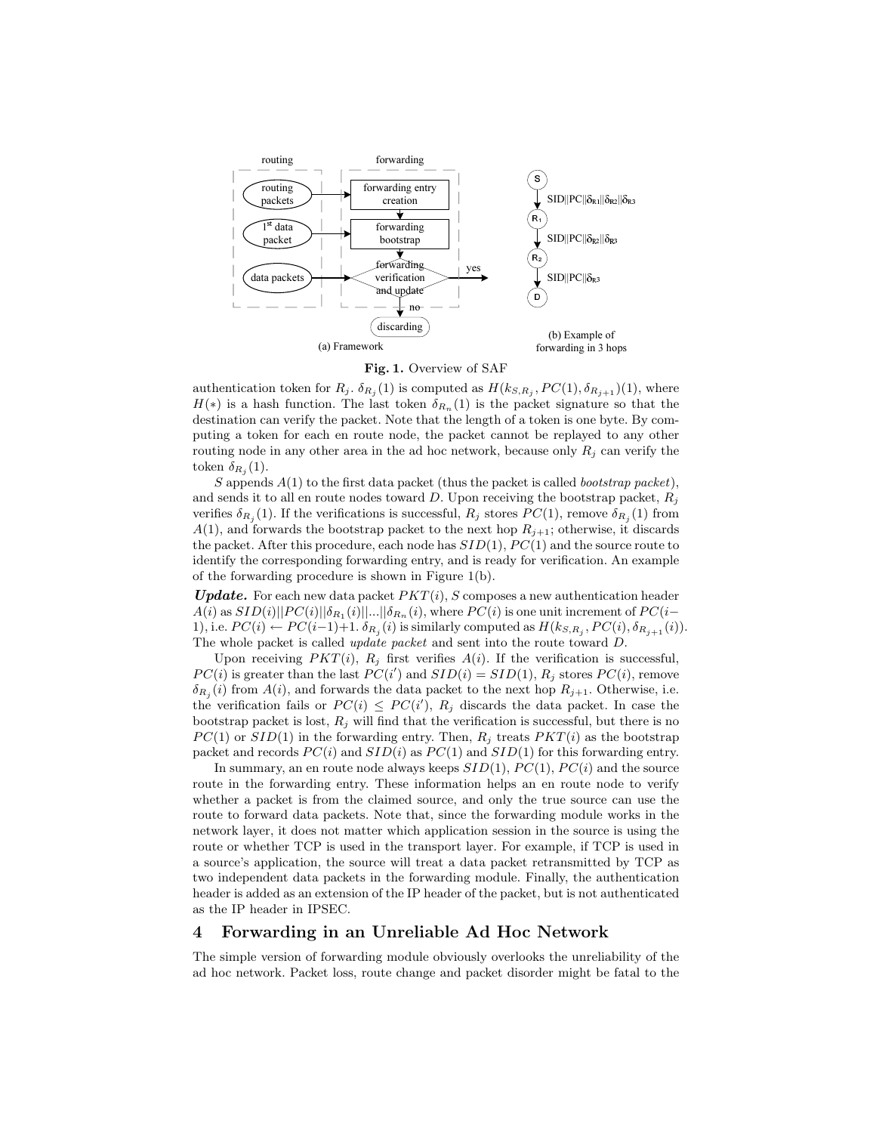



authentication token for  $R_j$ .  $\delta_{R_j}(1)$  is computed as  $H(k_{S,R_j}, PC(1), \delta_{R_{j+1}})(1)$ , where  $H(*)$  is a hash function. The last token  $\delta_{R_n}(1)$  is the packet signature so that the destination can verify the packet. Note that the length of a token is one byte. By computing a token for each en route node, the packet cannot be replayed to any other routing node in any other area in the ad hoc network, because only  $R_i$  can verify the token  $\delta_{R_j}(1)$ .

S appends  $A(1)$  to the first data packet (thus the packet is called *bootstrap packet*), and sends it to all en route nodes toward D. Upon receiving the bootstrap packet,  $R_i$ verifies  $\delta_{R_j}(1)$ . If the verifications is successful,  $R_j$  stores  $PC(1)$ , remove  $\delta_{R_j}(1)$  from  $A(1)$ , and forwards the bootstrap packet to the next hop  $R_{j+1}$ ; otherwise, it discards the packet. After this procedure, each node has  $SID(1)$ ,  $PC(1)$  and the source route to identify the corresponding forwarding entry, and is ready for verification. An example of the forwarding procedure is shown in Figure 1(b).

**Update.** For each new data packet  $PKT(i)$ , S composes a new authentication header  $A(i)$  as  $SID(i)||PC(i)||\delta_{R_1}(i)||...||\delta_{R_n}(i)$ , where  $PC(i)$  is one unit increment of  $PC(i-$ 1), i.e.  $PC(i) \leftarrow PC(i-1)+1$ .  $\delta_{R_j}(i)$  is similarly computed as  $H(k_{S,R_j}, PC(i), \delta_{R_{j+1}}(i)).$ The whole packet is called update packet and sent into the route toward D.

Upon receiving  $PKT(i)$ ,  $R_j$  first verifies  $A(i)$ . If the verification is successful,  $PC(i)$  is greater than the last  $PC(i')$  and  $SID(i) = SID(1), R_j$  stores  $PC(i)$ , remove  $\delta_{R_j}(i)$  from  $A(i)$ , and forwards the data packet to the next hop  $R_{j+1}$ . Otherwise, i.e. the verification fails or  $PC(i) \leq PC(i')$ ,  $R_j$  discards the data packet. In case the bootstrap packet is lost,  $R_i$  will find that the verification is successful, but there is no  $PC(1)$  or  $SID(1)$  in the forwarding entry. Then,  $R_j$  treats  $PKT(i)$  as the bootstrap packet and records  $PC(i)$  and  $SID(i)$  as  $PC(1)$  and  $SID(1)$  for this forwarding entry.

In summary, an en route node always keeps  $SID(1)$ ,  $PC(1)$ ,  $PC(i)$  and the source route in the forwarding entry. These information helps an en route node to verify whether a packet is from the claimed source, and only the true source can use the route to forward data packets. Note that, since the forwarding module works in the network layer, it does not matter which application session in the source is using the route or whether TCP is used in the transport layer. For example, if TCP is used in a source's application, the source will treat a data packet retransmitted by TCP as two independent data packets in the forwarding module. Finally, the authentication header is added as an extension of the IP header of the packet, but is not authenticated as the IP header in IPSEC.

# 4 Forwarding in an Unreliable Ad Hoc Network

The simple version of forwarding module obviously overlooks the unreliability of the ad hoc network. Packet loss, route change and packet disorder might be fatal to the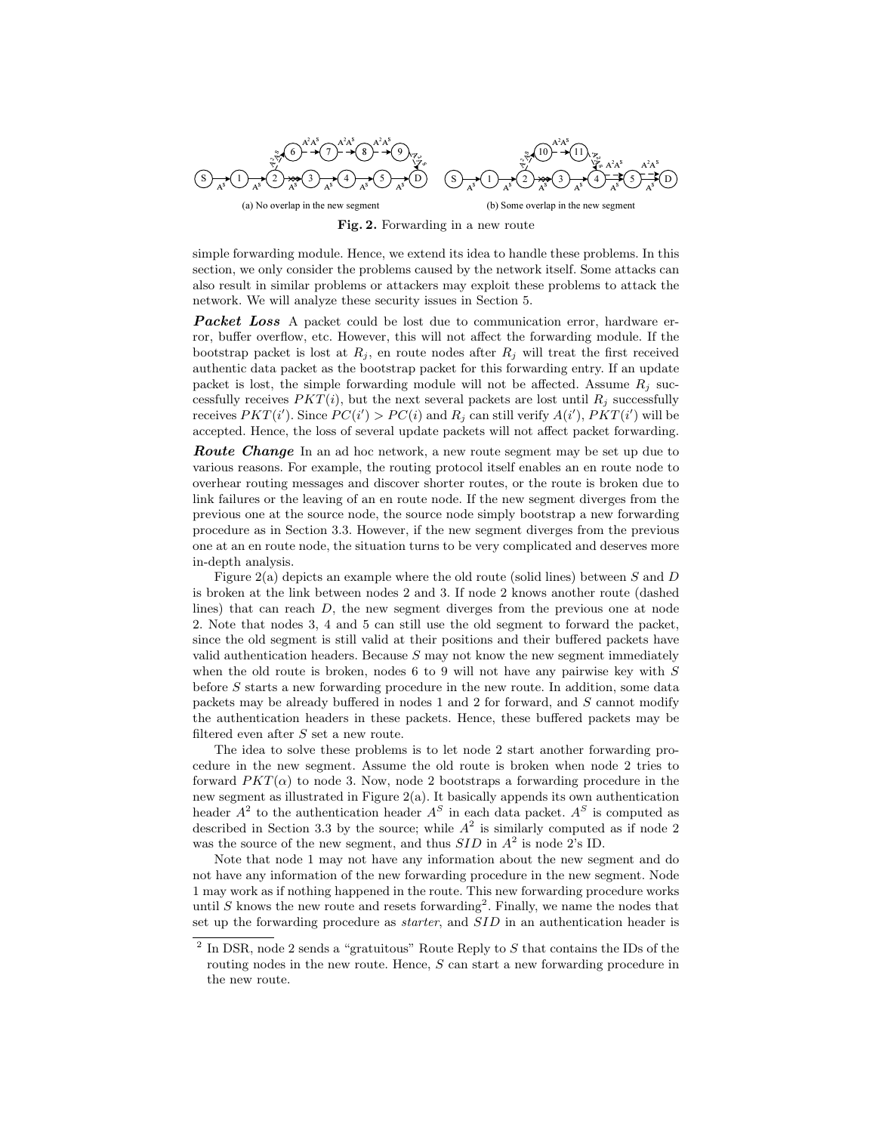

(b) Some overlap in the new segment

Fig. 2. Forwarding in a new route

simple forwarding module. Hence, we extend its idea to handle these problems. In this section, we only consider the problems caused by the network itself. Some attacks can also result in similar problems or attackers may exploit these problems to attack the network. We will analyze these security issues in Section 5.

**Packet Loss** A packet could be lost due to communication error, hardware error, buffer overflow, etc. However, this will not affect the forwarding module. If the bootstrap packet is lost at  $R_j$ , en route nodes after  $R_j$  will treat the first received authentic data packet as the bootstrap packet for this forwarding entry. If an update packet is lost, the simple forwarding module will not be affected. Assume  $R_i$  successfully receives  $PKT(i)$ , but the next several packets are lost until  $R_j$  successfully receives  $PKT(i')$ . Since  $PC(i') > PC(i)$  and  $R_j$  can still verify  $A(i')$ ,  $PKT(i')$  will be accepted. Hence, the loss of several update packets will not affect packet forwarding.

**Route Change** In an ad hoc network, a new route segment may be set up due to various reasons. For example, the routing protocol itself enables an en route node to overhear routing messages and discover shorter routes, or the route is broken due to link failures or the leaving of an en route node. If the new segment diverges from the previous one at the source node, the source node simply bootstrap a new forwarding procedure as in Section 3.3. However, if the new segment diverges from the previous one at an en route node, the situation turns to be very complicated and deserves more in-depth analysis.

Figure 2(a) depicts an example where the old route (solid lines) between S and D is broken at the link between nodes 2 and 3. If node 2 knows another route (dashed lines) that can reach D, the new segment diverges from the previous one at node 2. Note that nodes 3, 4 and 5 can still use the old segment to forward the packet, since the old segment is still valid at their positions and their buffered packets have valid authentication headers. Because  $S$  may not know the new segment immediately when the old route is broken, nodes 6 to 9 will not have any pairwise key with  $S$ before S starts a new forwarding procedure in the new route. In addition, some data packets may be already buffered in nodes 1 and 2 for forward, and S cannot modify the authentication headers in these packets. Hence, these buffered packets may be filtered even after S set a new route.

The idea to solve these problems is to let node 2 start another forwarding procedure in the new segment. Assume the old route is broken when node 2 tries to forward  $PKT(\alpha)$  to node 3. Now, node 2 bootstraps a forwarding procedure in the new segment as illustrated in Figure 2(a). It basically appends its own authentication header  $A^2$  to the authentication header  $A^S$  in each data packet.  $A^S$  is computed as described in Section 3.3 by the source; while  $A^2$  is similarly computed as if node 2 was the source of the new segment, and thus  $SID$  in  $A<sup>2</sup>$  is node 2's ID.

Note that node 1 may not have any information about the new segment and do not have any information of the new forwarding procedure in the new segment. Node 1 may work as if nothing happened in the route. This new forwarding procedure works until  $S$  knows the new route and resets forwarding<sup>2</sup>. Finally, we name the nodes that set up the forwarding procedure as *starter*, and  $SID$  in an authentication header is

 $^2$  In DSR, node 2 sends a "gratuitous" Route Reply to  $S$  that contains the IDs of the routing nodes in the new route. Hence, S can start a new forwarding procedure in the new route.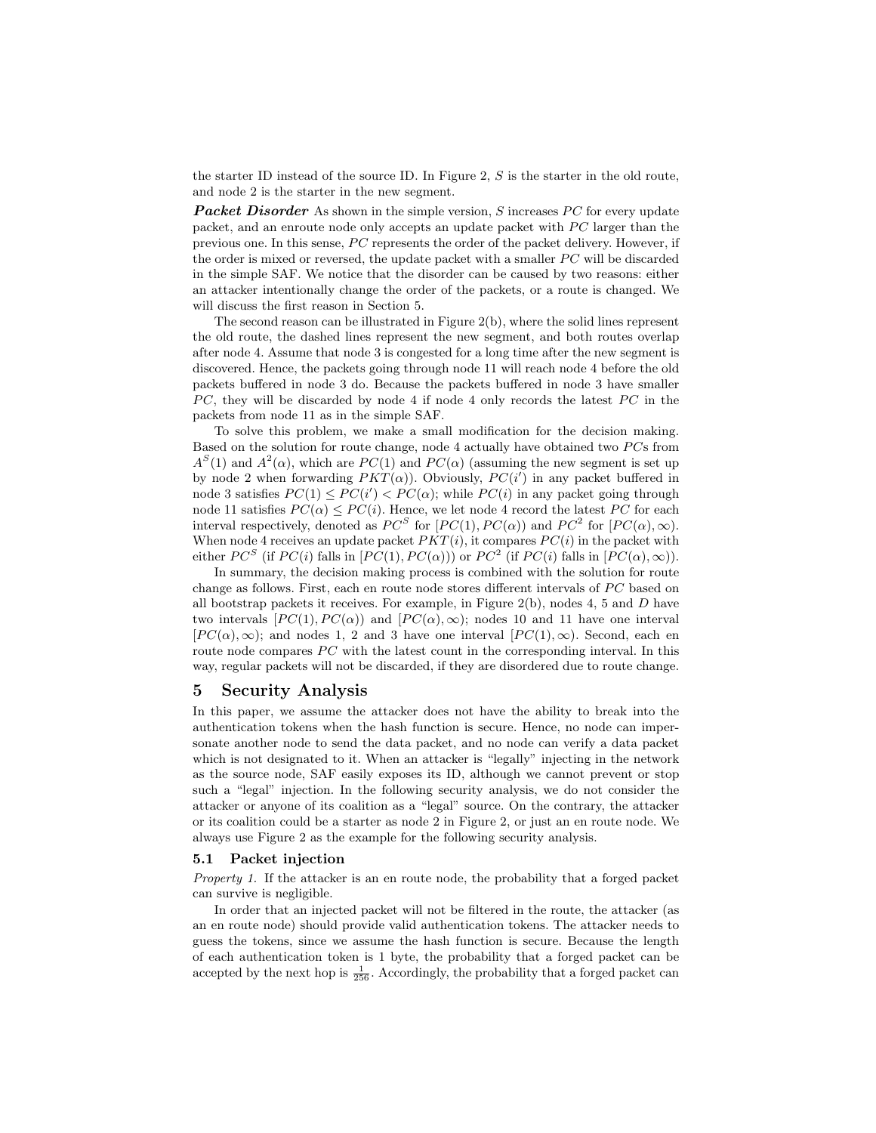the starter ID instead of the source ID. In Figure 2, S is the starter in the old route, and node 2 is the starter in the new segment.

**Packet Disorder** As shown in the simple version, S increases PC for every update packet, and an enroute node only accepts an update packet with  $PC$  larger than the previous one. In this sense,  $PC$  represents the order of the packet delivery. However, if the order is mixed or reversed, the update packet with a smaller  $PC$  will be discarded in the simple SAF. We notice that the disorder can be caused by two reasons: either an attacker intentionally change the order of the packets, or a route is changed. We will discuss the first reason in Section 5.

The second reason can be illustrated in Figure 2(b), where the solid lines represent the old route, the dashed lines represent the new segment, and both routes overlap after node 4. Assume that node 3 is congested for a long time after the new segment is discovered. Hence, the packets going through node 11 will reach node 4 before the old packets buffered in node 3 do. Because the packets buffered in node 3 have smaller  $PC$ , they will be discarded by node 4 if node 4 only records the latest  $PC$  in the packets from node 11 as in the simple SAF.

To solve this problem, we make a small modification for the decision making. Based on the solution for route change, node  $4$  actually have obtained two  $PCs$  from  $A<sup>S</sup>(1)$  and  $A<sup>2</sup>(\alpha)$ , which are  $PC(1)$  and  $PC(\alpha)$  (assuming the new segment is set up by node 2 when forwarding  $PKT(\alpha)$ ). Obviously,  $PC(i')$  in any packet buffered in node 3 satisfies  $PC(1) \leq PC(i') < PC(\alpha)$ ; while  $PC(i)$  in any packet going through node 11 satisfies  $PC(\alpha) \leq PC(i)$ . Hence, we let node 4 record the latest PC for each interval respectively, denoted as  $PC^S$  for  $[PC(1), PC(\alpha))$  and  $PC^2$  for  $[PC(\alpha), \infty)$ . When node 4 receives an update packet  $PKT(i)$ , it compares  $PC(i)$  in the packet with either  $PC^S$  (if  $PC(i)$  falls in  $[PC(1), PC(\alpha))$ ) or  $PC^2$  (if  $PC(i)$  falls in  $[PC(\alpha), \infty)$ ).

In summary, the decision making process is combined with the solution for route change as follows. First, each en route node stores different intervals of  $\overline{PC}$  based on all bootstrap packets it receives. For example, in Figure  $2(b)$ , nodes 4, 5 and D have two intervals  $[PC(1), PC(\alpha))$  and  $[PC(\alpha), \infty)$ ; nodes 10 and 11 have one interval  $[PC(\alpha), \infty);$  and nodes 1, 2 and 3 have one interval  $[PC(1), \infty)$ . Second, each en route node compares  $PC$  with the latest count in the corresponding interval. In this way, regular packets will not be discarded, if they are disordered due to route change.

# 5 Security Analysis

In this paper, we assume the attacker does not have the ability to break into the authentication tokens when the hash function is secure. Hence, no node can impersonate another node to send the data packet, and no node can verify a data packet which is not designated to it. When an attacker is "legally" injecting in the network as the source node, SAF easily exposes its ID, although we cannot prevent or stop such a "legal" injection. In the following security analysis, we do not consider the attacker or anyone of its coalition as a "legal" source. On the contrary, the attacker or its coalition could be a starter as node 2 in Figure 2, or just an en route node. We always use Figure 2 as the example for the following security analysis.

#### 5.1 Packet injection

Property 1. If the attacker is an en route node, the probability that a forged packet can survive is negligible.

In order that an injected packet will not be filtered in the route, the attacker (as an en route node) should provide valid authentication tokens. The attacker needs to guess the tokens, since we assume the hash function is secure. Because the length of each authentication token is 1 byte, the probability that a forged packet can be accepted by the next hop is  $\frac{1}{256}$ . Accordingly, the probability that a forged packet can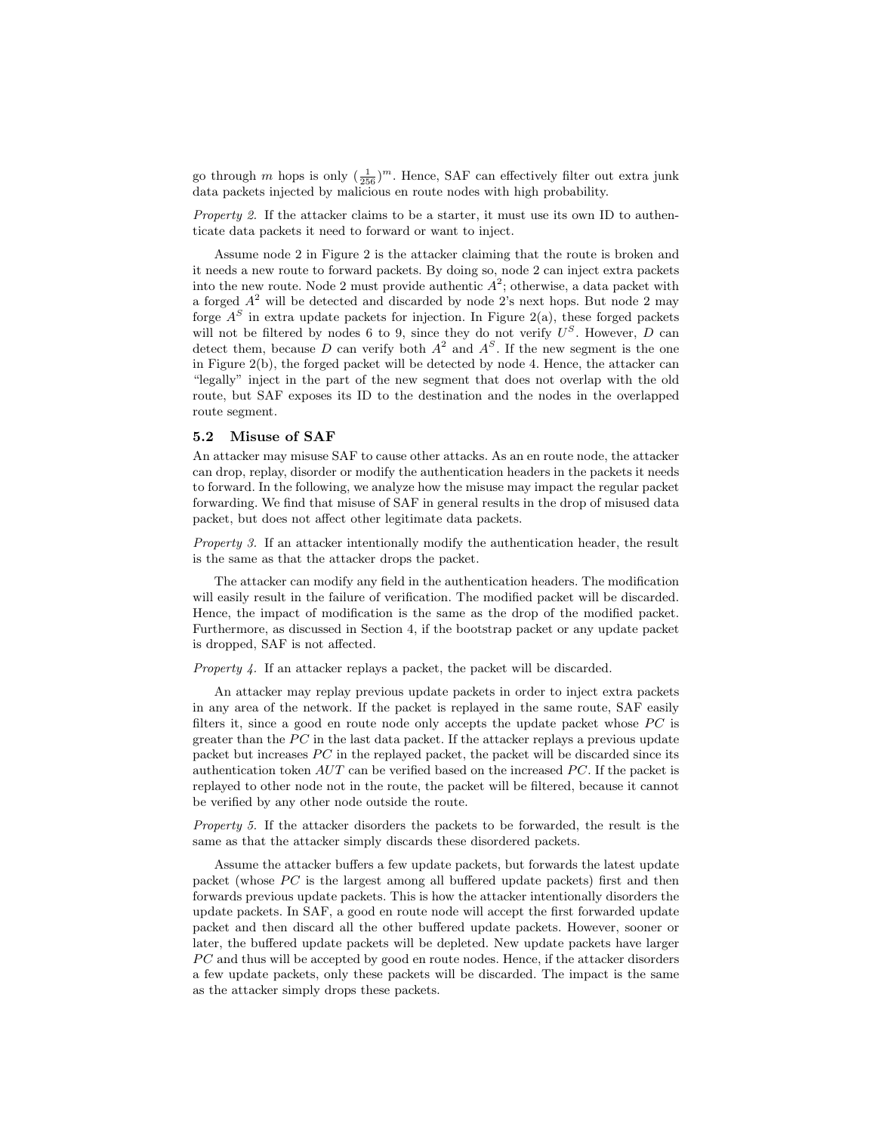go through m hops is only  $(\frac{1}{256})^m$ . Hence, SAF can effectively filter out extra junk data packets injected by malicious en route nodes with high probability.

Property 2. If the attacker claims to be a starter, it must use its own ID to authenticate data packets it need to forward or want to inject.

Assume node 2 in Figure 2 is the attacker claiming that the route is broken and it needs a new route to forward packets. By doing so, node 2 can inject extra packets into the new route. Node 2 must provide authentic  $A^2$ ; otherwise, a data packet with a forged  $A^2$  will be detected and discarded by node 2's next hops. But node 2 may forge  $A<sup>S</sup>$  in extra update packets for injection. In Figure 2(a), these forged packets will not be filtered by nodes 6 to 9, since they do not verify  $U^S$ . However, D can detect them, because D can verify both  $A^2$  and  $A^S$ . If the new segment is the one in Figure 2(b), the forged packet will be detected by node 4. Hence, the attacker can "legally" inject in the part of the new segment that does not overlap with the old route, but SAF exposes its ID to the destination and the nodes in the overlapped route segment.

#### 5.2 Misuse of SAF

An attacker may misuse SAF to cause other attacks. As an en route node, the attacker can drop, replay, disorder or modify the authentication headers in the packets it needs to forward. In the following, we analyze how the misuse may impact the regular packet forwarding. We find that misuse of SAF in general results in the drop of misused data packet, but does not affect other legitimate data packets.

Property 3. If an attacker intentionally modify the authentication header, the result is the same as that the attacker drops the packet.

The attacker can modify any field in the authentication headers. The modification will easily result in the failure of verification. The modified packet will be discarded. Hence, the impact of modification is the same as the drop of the modified packet. Furthermore, as discussed in Section 4, if the bootstrap packet or any update packet is dropped, SAF is not affected.

Property 4. If an attacker replays a packet, the packet will be discarded.

An attacker may replay previous update packets in order to inject extra packets in any area of the network. If the packet is replayed in the same route, SAF easily filters it, since a good en route node only accepts the update packet whose  $\overline{PC}$  is greater than the  $PC$  in the last data packet. If the attacker replays a previous update packet but increases  $\overline{PC}$  in the replayed packet, the packet will be discarded since its authentication token  $AUT$  can be verified based on the increased  $PC$ . If the packet is replayed to other node not in the route, the packet will be filtered, because it cannot be verified by any other node outside the route.

Property 5. If the attacker disorders the packets to be forwarded, the result is the same as that the attacker simply discards these disordered packets.

Assume the attacker buffers a few update packets, but forwards the latest update packet (whose  $\overline{PC}$  is the largest among all buffered update packets) first and then forwards previous update packets. This is how the attacker intentionally disorders the update packets. In SAF, a good en route node will accept the first forwarded update packet and then discard all the other buffered update packets. However, sooner or later, the buffered update packets will be depleted. New update packets have larger  $\overline{PC}$  and thus will be accepted by good en route nodes. Hence, if the attacker disorders a few update packets, only these packets will be discarded. The impact is the same as the attacker simply drops these packets.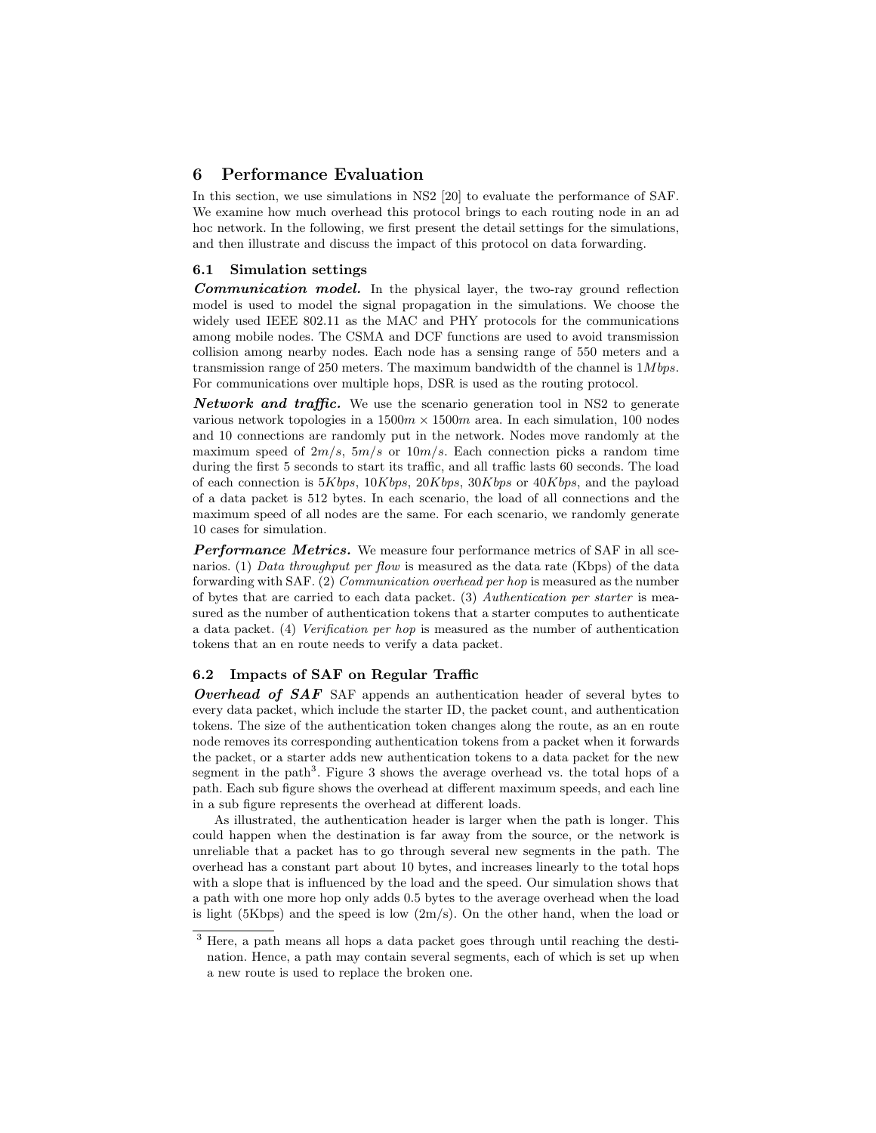# 6 Performance Evaluation

In this section, we use simulations in NS2 [20] to evaluate the performance of SAF. We examine how much overhead this protocol brings to each routing node in an ad hoc network. In the following, we first present the detail settings for the simulations, and then illustrate and discuss the impact of this protocol on data forwarding.

### 6.1 Simulation settings

Communication model. In the physical layer, the two-ray ground reflection model is used to model the signal propagation in the simulations. We choose the widely used IEEE 802.11 as the MAC and PHY protocols for the communications among mobile nodes. The CSMA and DCF functions are used to avoid transmission collision among nearby nodes. Each node has a sensing range of 550 meters and a transmission range of 250 meters. The maximum bandwidth of the channel is  $1Mbps$ . For communications over multiple hops, DSR is used as the routing protocol.

**Network and traffic.** We use the scenario generation tool in NS2 to generate various network topologies in a  $1500m \times 1500m$  area. In each simulation, 100 nodes and 10 connections are randomly put in the network. Nodes move randomly at the maximum speed of  $2m/s$ ,  $5m/s$  or  $10m/s$ . Each connection picks a random time during the first 5 seconds to start its traffic, and all traffic lasts 60 seconds. The load of each connection is  $5Kbps$ ,  $10Kbps$ ,  $20Kbps$ ,  $30Kbps$  or  $40Kbps$ , and the payload of a data packet is 512 bytes. In each scenario, the load of all connections and the maximum speed of all nodes are the same. For each scenario, we randomly generate 10 cases for simulation.

Performance Metrics. We measure four performance metrics of SAF in all scenarios. (1) Data throughput per flow is measured as the data rate (Kbps) of the data forwarding with SAF. (2) Communication overhead per hop is measured as the number of bytes that are carried to each data packet. (3) Authentication per starter is measured as the number of authentication tokens that a starter computes to authenticate a data packet. (4) Verification per hop is measured as the number of authentication tokens that an en route needs to verify a data packet.

### 6.2 Impacts of SAF on Regular Traffic

Overhead of SAF SAF appends an authentication header of several bytes to every data packet, which include the starter ID, the packet count, and authentication tokens. The size of the authentication token changes along the route, as an en route node removes its corresponding authentication tokens from a packet when it forwards the packet, or a starter adds new authentication tokens to a data packet for the new segment in the path<sup>3</sup>. Figure 3 shows the average overhead vs. the total hops of a path. Each sub figure shows the overhead at different maximum speeds, and each line in a sub figure represents the overhead at different loads.

As illustrated, the authentication header is larger when the path is longer. This could happen when the destination is far away from the source, or the network is unreliable that a packet has to go through several new segments in the path. The overhead has a constant part about 10 bytes, and increases linearly to the total hops with a slope that is influenced by the load and the speed. Our simulation shows that a path with one more hop only adds 0.5 bytes to the average overhead when the load is light (5Kbps) and the speed is low  $(2m/s)$ . On the other hand, when the load or

<sup>3</sup> Here, a path means all hops a data packet goes through until reaching the destination. Hence, a path may contain several segments, each of which is set up when a new route is used to replace the broken one.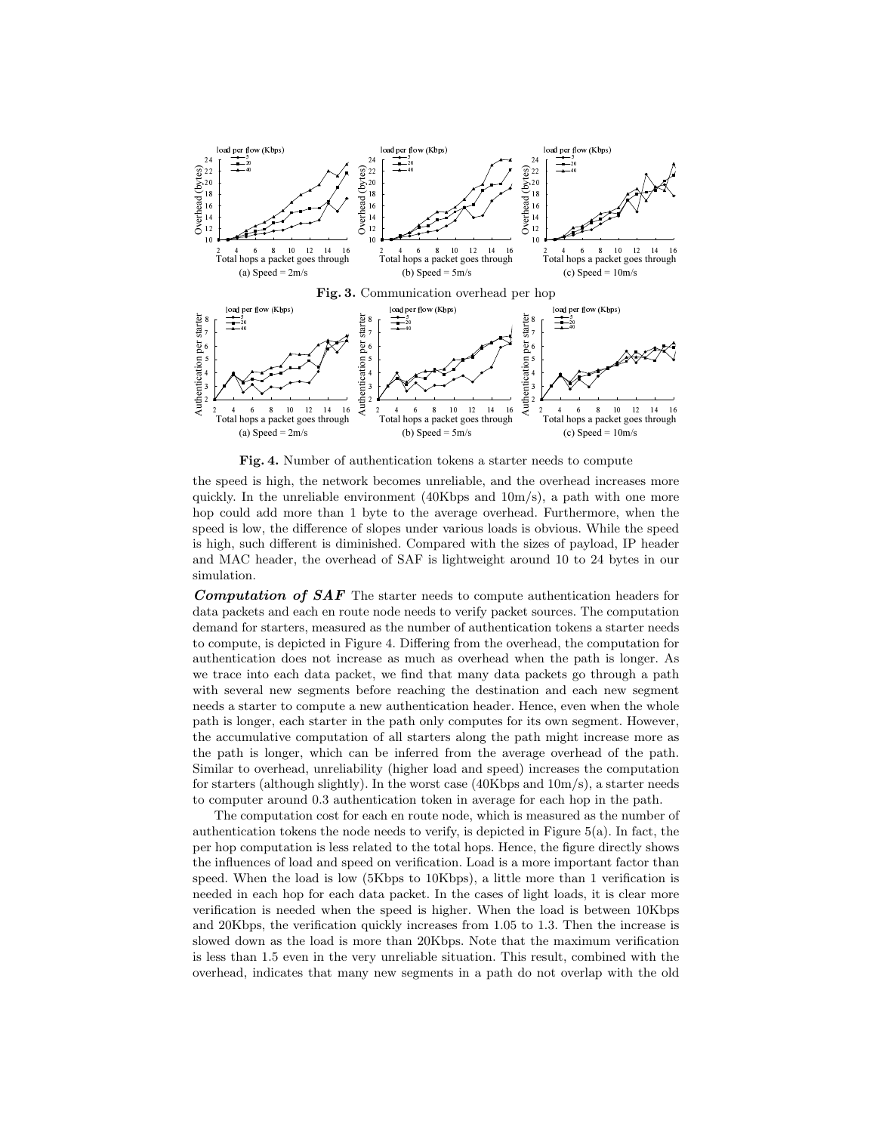

Fig. 4. Number of authentication tokens a starter needs to compute

the speed is high, the network becomes unreliable, and the overhead increases more quickly. In the unreliable environment (40Kbps and  $10m/s$ ), a path with one more hop could add more than 1 byte to the average overhead. Furthermore, when the speed is low, the difference of slopes under various loads is obvious. While the speed is high, such different is diminished. Compared with the sizes of payload, IP header and MAC header, the overhead of SAF is lightweight around 10 to 24 bytes in our simulation.

Computation of SAF The starter needs to compute authentication headers for data packets and each en route node needs to verify packet sources. The computation demand for starters, measured as the number of authentication tokens a starter needs to compute, is depicted in Figure 4. Differing from the overhead, the computation for authentication does not increase as much as overhead when the path is longer. As we trace into each data packet, we find that many data packets go through a path with several new segments before reaching the destination and each new segment needs a starter to compute a new authentication header. Hence, even when the whole path is longer, each starter in the path only computes for its own segment. However, the accumulative computation of all starters along the path might increase more as the path is longer, which can be inferred from the average overhead of the path. Similar to overhead, unreliability (higher load and speed) increases the computation for starters (although slightly). In the worst case  $(40Kbps$  and  $10m/s)$ , a starter needs to computer around 0.3 authentication token in average for each hop in the path.

The computation cost for each en route node, which is measured as the number of authentication tokens the node needs to verify, is depicted in Figure 5(a). In fact, the per hop computation is less related to the total hops. Hence, the figure directly shows the influences of load and speed on verification. Load is a more important factor than speed. When the load is low (5Kbps to 10Kbps), a little more than 1 verification is needed in each hop for each data packet. In the cases of light loads, it is clear more verification is needed when the speed is higher. When the load is between 10Kbps and 20Kbps, the verification quickly increases from 1.05 to 1.3. Then the increase is slowed down as the load is more than 20Kbps. Note that the maximum verification is less than 1.5 even in the very unreliable situation. This result, combined with the overhead, indicates that many new segments in a path do not overlap with the old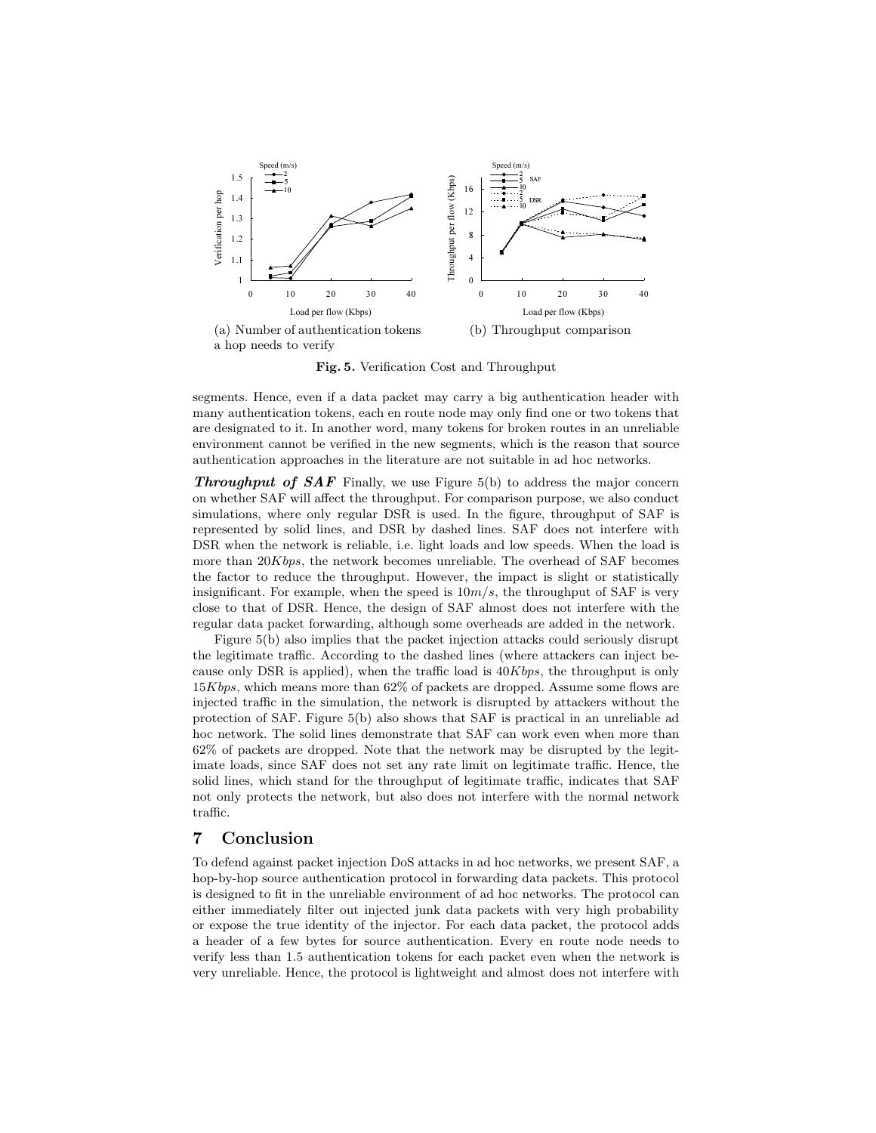

Fig. 5. Verification Cost and Throughput

segments. Hence, even if a data packet may carry a big authentication header with many authentication tokens, each en route node may only find one or two tokens that are designated to it. In another word, many tokens for broken routes in an unreliable environment cannot be verified in the new segments, which is the reason that source authentication approaches in the literature are not suitable in ad hoc networks.

**Throughput of SAF** Finally, we use Figure 5(b) to address the major concern on whether SAF will affect the throughput. For comparison purpose, we also conduct simulations, where only regular DSR is used. In the figure, throughput of SAF is represented by solid lines, and DSR by dashed lines. SAF does not interfere with DSR when the network is reliable, i.e. light loads and low speeds. When the load is more than  $20Kbps$ , the network becomes unreliable. The overhead of SAF becomes the factor to reduce the throughput. However, the impact is slight or statistically insignificant. For example, when the speed is  $10m/s$ , the throughput of SAF is very close to that of DSR. Hence, the design of SAF almost does not interfere with the regular data packet forwarding, although some overheads are added in the network.

Figure 5(b) also implies that the packet injection attacks could seriously disrupt the legitimate traffic. According to the dashed lines (where attackers can inject because only DSR is applied), when the traffic load is  $40Kbps$ , the throughput is only  $15Kbps$ , which means more than 62% of packets are dropped. Assume some flows are injected traffic in the simulation, the network is disrupted by attackers without the protection of SAF. Figure 5(b) also shows that SAF is practical in an unreliable ad hoc network. The solid lines demonstrate that SAF can work even when more than 62% of packets are dropped. Note that the network may be disrupted by the legitimate loads, since SAF does not set any rate limit on legitimate traffic. Hence, the solid lines, which stand for the throughput of legitimate traffic, indicates that SAF not only protects the network, but also does not interfere with the normal network traffic.

# 7 Conclusion

To defend against packet injection DoS attacks in ad hoc networks, we present SAF, a hop-by-hop source authentication protocol in forwarding data packets. This protocol is designed to fit in the unreliable environment of ad hoc networks. The protocol can either immediately filter out injected junk data packets with very high probability or expose the true identity of the injector. For each data packet, the protocol adds a header of a few bytes for source authentication. Every en route node needs to verify less than 1.5 authentication tokens for each packet even when the network is very unreliable. Hence, the protocol is lightweight and almost does not interfere with